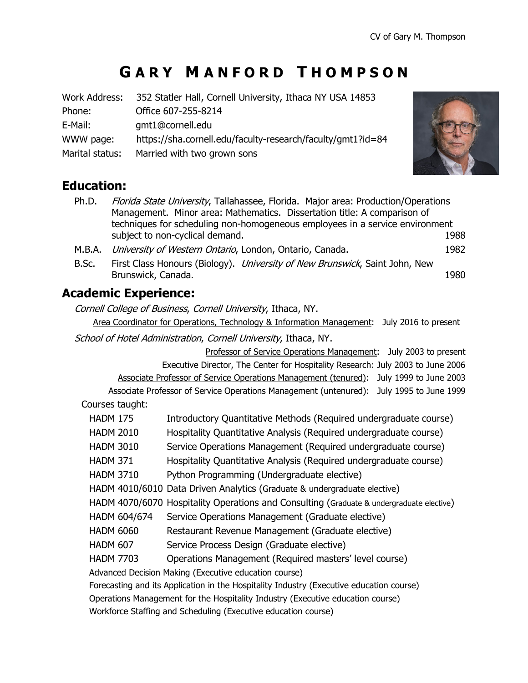# **G A R Y M A N F O R D T H O M P S O N**

| Work Address:   | 352 Statler Hall, Cornell University, Ithaca NY USA 14853   |
|-----------------|-------------------------------------------------------------|
| Phone:          | Office 607-255-8214                                         |
| E-Mail:         | gmt1@cornell.edu                                            |
| WWW page:       | https://sha.cornell.edu/faculty-research/faculty/gmt1?id=84 |
| Marital status: | Married with two grown sons                                 |



# **Education:**

- Ph.D. Florida State University, Tallahassee, Florida. Major area: Production/Operations Management. Minor area: Mathematics. Dissertation title: A comparison of techniques for scheduling non-homogeneous employees in a service environment subject to non-cyclical demand. The subject to non-cyclical demand.
- M.B.A. *University of Western Ontario*, London, Ontario, Canada. 1982
- B.Sc. First Class Honours (Biology). *University of New Brunswick*, Saint John, New Brunswick, Canada. 1980

# **Academic Experience:**

Cornell College of Business, Cornell University, Ithaca, NY.

Area Coordinator for Operations, Technology & Information Management: July 2016 to present

School of Hotel Administration, Cornell University, Ithaca, NY.

Professor of Service Operations Management: July 2003 to present Executive Director, The Center for Hospitality Research: July 2003 to June 2006 Associate Professor of Service Operations Management (tenured): July 1999 to June 2003 Associate Professor of Service Operations Management (untenured): July 1995 to June 1999

Courses taught:

| <b>HADM 175</b>                                                                          |              | Introductory Quantitative Methods (Required undergraduate course)                        |  |  |
|------------------------------------------------------------------------------------------|--------------|------------------------------------------------------------------------------------------|--|--|
| <b>HADM 2010</b>                                                                         |              | Hospitality Quantitative Analysis (Required undergraduate course)                        |  |  |
| <b>HADM 3010</b>                                                                         |              | Service Operations Management (Required undergraduate course)                            |  |  |
| <b>HADM 371</b>                                                                          |              | Hospitality Quantitative Analysis (Required undergraduate course)                        |  |  |
| <b>HADM 3710</b>                                                                         |              | Python Programming (Undergraduate elective)                                              |  |  |
|                                                                                          |              | HADM 4010/6010 Data Driven Analytics (Graduate & undergraduate elective)                 |  |  |
|                                                                                          |              | HADM 4070/6070 Hospitality Operations and Consulting (Graduate & undergraduate elective) |  |  |
|                                                                                          | HADM 604/674 | Service Operations Management (Graduate elective)                                        |  |  |
| <b>HADM 6060</b>                                                                         |              | Restaurant Revenue Management (Graduate elective)                                        |  |  |
| <b>HADM 607</b>                                                                          |              | Service Process Design (Graduate elective)                                               |  |  |
| <b>HADM 7703</b>                                                                         |              | Operations Management (Required masters' level course)                                   |  |  |
| Advanced Decision Making (Executive education course)                                    |              |                                                                                          |  |  |
| Forecasting and its Application in the Hospitality Industry (Executive education course) |              |                                                                                          |  |  |
| Operations Management for the Hospitality Industry (Executive education course)          |              |                                                                                          |  |  |
| Workforce Staffing and Scheduling (Executive education course)                           |              |                                                                                          |  |  |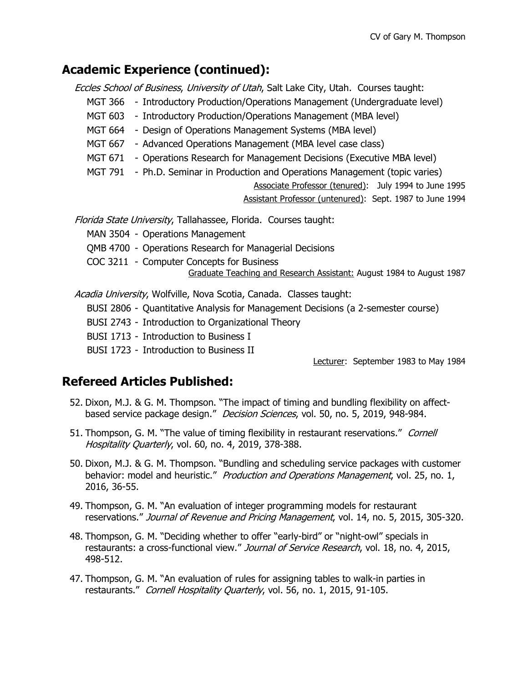# **Academic Experience (continued):**

Eccles School of Business, University of Utah, Salt Lake City, Utah. Courses taught:

- MGT 366 Introductory Production/Operations Management (Undergraduate level)
- MGT 603 Introductory Production/Operations Management (MBA level)
- MGT 664 Design of Operations Management Systems (MBA level)
- MGT 667 Advanced Operations Management (MBA level case class)
- MGT 671 Operations Research for Management Decisions (Executive MBA level)
- MGT 791 Ph.D. Seminar in Production and Operations Management (topic varies)

Associate Professor (tenured): July 1994 to June 1995 Assistant Professor (untenured): Sept. 1987 to June 1994

Florida State University, Tallahassee, Florida. Courses taught:

MAN 3504 - Operations Management

QMB 4700 - Operations Research for Managerial Decisions

COC 3211 - Computer Concepts for Business

Graduate Teaching and Research Assistant: August 1984 to August 1987

Acadia University, Wolfville, Nova Scotia, Canada. Classes taught:

BUSI 2806 - Quantitative Analysis for Management Decisions (a 2-semester course)

BUSI 2743 - Introduction to Organizational Theory

BUSI 1713 - Introduction to Business I

BUSI 1723 - Introduction to Business II

Lecturer: September 1983 to May 1984

# **Refereed Articles Published:**

- 52. Dixon, M.J. & G. M. Thompson. "The impact of timing and bundling flexibility on affectbased service package design." Decision Sciences, vol. 50, no. 5, 2019, 948-984.
- 51. Thompson, G. M. "The value of timing flexibility in restaurant reservations." Cornell Hospitality Quarterly, vol. 60, no. 4, 2019, 378-388.
- 50. Dixon, M.J. & G. M. Thompson. "Bundling and scheduling service packages with customer behavior: model and heuristic." *Production and Operations Management*, vol. 25, no. 1, 2016, 36-55.
- 49. Thompson, G. M. "An evaluation of integer programming models for restaurant reservations." Journal of Revenue and Pricing Management, vol. 14, no. 5, 2015, 305-320.
- 48. Thompson, G. M. "Deciding whether to offer "early-bird" or "night-owl" specials in restaurants: a cross-functional view." Journal of Service Research, vol. 18, no. 4, 2015, 498-512.
- 47. Thompson, G. M. "An evaluation of rules for assigning tables to walk-in parties in restaurants." Cornell Hospitality Quarterly, vol. 56, no. 1, 2015, 91-105.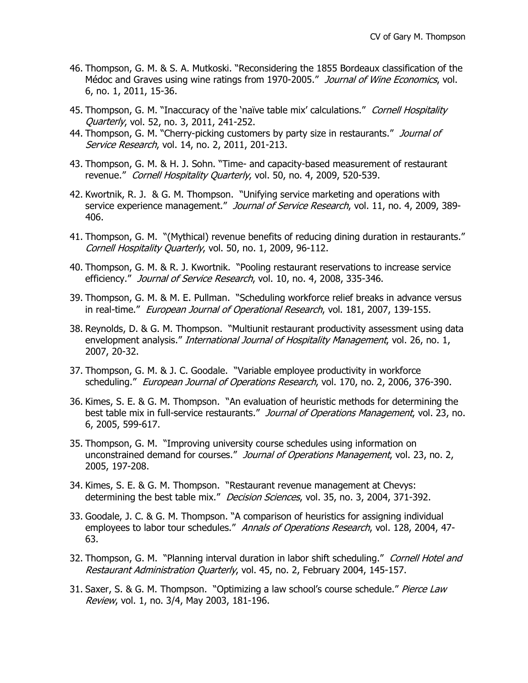- 46. Thompson, G. M. & S. A. Mutkoski. "Reconsidering the 1855 Bordeaux classification of the Médoc and Graves using wine ratings from 1970-2005." Journal of Wine Economics, vol. 6, no. 1, 2011, 15-36.
- 45. Thompson, G. M. "Inaccuracy of the 'naïve table mix' calculations." Cornell Hospitality Quarterly, vol. 52, no. 3, 2011, 241-252.
- 44. Thompson, G. M. "Cherry-picking customers by party size in restaurants." Journal of Service Research, vol. 14, no. 2, 2011, 201-213.
- 43. Thompson, G. M. & H. J. Sohn. "Time- and capacity-based measurement of restaurant revenue." Cornell Hospitality Quarterly, vol. 50, no. 4, 2009, 520-539.
- 42. Kwortnik, R. J. & G. M. Thompson. "Unifying service marketing and operations with service experience management." Journal of Service Research, vol. 11, no. 4, 2009, 389-406.
- 41. Thompson, G. M. "(Mythical) revenue benefits of reducing dining duration in restaurants." Cornell Hospitality Quarterly, vol. 50, no. 1, 2009, 96-112.
- 40. Thompson, G. M. & R. J. Kwortnik. "Pooling restaurant reservations to increase service efficiency." Journal of Service Research, vol. 10, no. 4, 2008, 335-346.
- 39. Thompson, G. M. & M. E. Pullman. "Scheduling workforce relief breaks in advance versus in real-time." European Journal of Operational Research, vol. 181, 2007, 139-155.
- 38. Reynolds, D. & G. M. Thompson. "Multiunit restaurant productivity assessment using data envelopment analysis." *International Journal of Hospitality Management*, vol. 26, no. 1, 2007, 20-32.
- 37. Thompson, G. M. & J. C. Goodale. "Variable employee productivity in workforce scheduling." European Journal of Operations Research, vol. 170, no. 2, 2006, 376-390.
- 36. Kimes, S. E. & G. M. Thompson. "An evaluation of heuristic methods for determining the best table mix in full-service restaurants." Journal of Operations Management, vol. 23, no. 6, 2005, 599-617.
- 35. Thompson, G. M. "Improving university course schedules using information on unconstrained demand for courses." Journal of Operations Management, vol. 23, no. 2, 2005, 197-208.
- 34. Kimes, S. E. & G. M. Thompson. "Restaurant revenue management at Chevys: determining the best table mix." Decision Sciences, vol. 35, no. 3, 2004, 371-392.
- 33. Goodale, J. C. & G. M. Thompson. "A comparison of heuristics for assigning individual employees to labor tour schedules." Annals of Operations Research, vol. 128, 2004, 47-63.
- 32. Thompson, G. M. "Planning interval duration in labor shift scheduling." Cornell Hotel and Restaurant Administration Quarterly, vol. 45, no. 2, February 2004, 145-157.
- 31. Saxer, S. & G. M. Thompson. "Optimizing a law school's course schedule." Pierce Law Review, vol. 1, no. 3/4, May 2003, 181-196.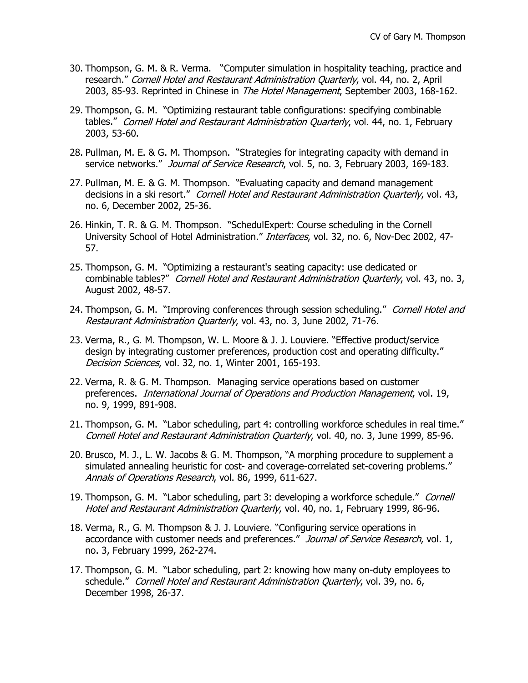- 30. Thompson, G. M. & R. Verma. "Computer simulation in hospitality teaching, practice and research." Cornell Hotel and Restaurant Administration Quarterly, vol. 44, no. 2, April 2003, 85-93. Reprinted in Chinese in The Hotel Management, September 2003, 168-162.
- 29. Thompson, G. M. "Optimizing restaurant table configurations: specifying combinable tables." Cornell Hotel and Restaurant Administration Quarterly, vol. 44, no. 1, February 2003, 53-60.
- 28. Pullman, M. E. & G. M. Thompson. "Strategies for integrating capacity with demand in service networks." Journal of Service Research, vol. 5, no. 3, February 2003, 169-183.
- 27. Pullman, M. E. & G. M. Thompson. "Evaluating capacity and demand management decisions in a ski resort." Cornell Hotel and Restaurant Administration Quarterly, vol. 43, no. 6, December 2002, 25-36.
- 26. Hinkin, T. R. & G. M. Thompson. "SchedulExpert: Course scheduling in the Cornell University School of Hotel Administration." Interfaces, vol. 32, no. 6, Nov-Dec 2002, 47- 57.
- 25. Thompson, G. M. "Optimizing a restaurant's seating capacity: use dedicated or combinable tables?" Cornell Hotel and Restaurant Administration Quarterly, vol. 43, no. 3, August 2002, 48-57.
- 24. Thompson, G. M. "Improving conferences through session scheduling." Cornell Hotel and Restaurant Administration Quarterly, vol. 43, no. 3, June 2002, 71-76.
- 23. Verma, R., G. M. Thompson, W. L. Moore & J. J. Louviere. "Effective product/service design by integrating customer preferences, production cost and operating difficulty." Decision Sciences, vol. 32, no. 1, Winter 2001, 165-193.
- 22. Verma, R. & G. M. Thompson. Managing service operations based on customer preferences. International Journal of Operations and Production Management, vol. 19, no. 9, 1999, 891-908.
- 21. Thompson, G. M. "Labor scheduling, part 4: controlling workforce schedules in real time." Cornell Hotel and Restaurant Administration Quarterly, vol. 40, no. 3, June 1999, 85-96.
- 20. Brusco, M. J., L. W. Jacobs & G. M. Thompson, "A morphing procedure to supplement a simulated annealing heuristic for cost- and coverage-correlated set-covering problems." Annals of Operations Research, vol. 86, 1999, 611-627.
- 19. Thompson, G. M. "Labor scheduling, part 3: developing a workforce schedule." Cornell Hotel and Restaurant Administration Quarterly, vol. 40, no. 1, February 1999, 86-96.
- 18. Verma, R., G. M. Thompson & J. J. Louviere. "Configuring service operations in accordance with customer needs and preferences." Journal of Service Research, vol. 1, no. 3, February 1999, 262-274.
- 17. Thompson, G. M. "Labor scheduling, part 2: knowing how many on-duty employees to schedule." Cornell Hotel and Restaurant Administration Quarterly, vol. 39, no. 6, December 1998, 26-37.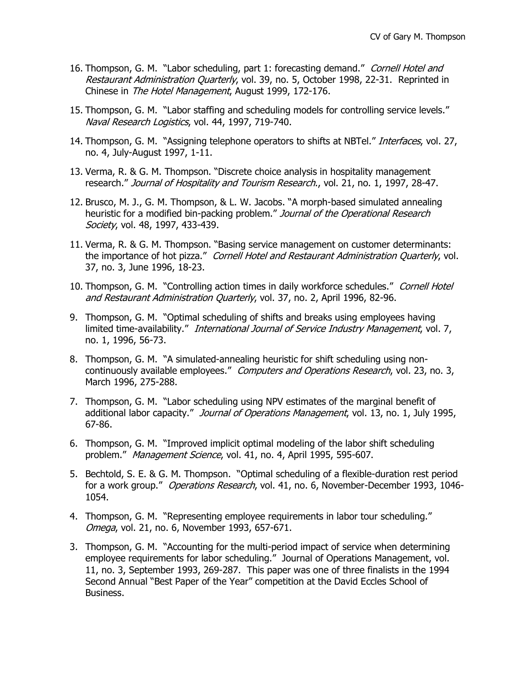- 16. Thompson, G. M. "Labor scheduling, part 1: forecasting demand." Cornell Hotel and Restaurant Administration Quarterly, vol. 39, no. 5, October 1998, 22-31. Reprinted in Chinese in The Hotel Management, August 1999, 172-176.
- 15. Thompson, G. M. "Labor staffing and scheduling models for controlling service levels." Naval Research Logistics, vol. 44, 1997, 719-740.
- 14. Thompson, G. M. "Assigning telephone operators to shifts at NBTel." *Interfaces*, vol. 27, no. 4, July-August 1997, 1-11.
- 13. Verma, R. & G. M. Thompson. "Discrete choice analysis in hospitality management research." Journal of Hospitality and Tourism Research., vol. 21, no. 1, 1997, 28-47.
- 12. Brusco, M. J., G. M. Thompson, & L. W. Jacobs. "A morph-based simulated annealing heuristic for a modified bin-packing problem." Journal of the Operational Research Society, vol. 48, 1997, 433-439.
- 11. Verma, R. & G. M. Thompson. "Basing service management on customer determinants: the importance of hot pizza." Cornell Hotel and Restaurant Administration Quarterly, vol. 37, no. 3, June 1996, 18-23.
- 10. Thompson, G. M. "Controlling action times in daily workforce schedules." Cornell Hotel and Restaurant Administration Quarterly, vol. 37, no. 2, April 1996, 82-96.
- 9. Thompson, G. M. "Optimal scheduling of shifts and breaks using employees having limited time-availability." International Journal of Service Industry Management, vol. 7, no. 1, 1996, 56-73.
- 8. Thompson, G. M. "A simulated-annealing heuristic for shift scheduling using noncontinuously available employees." Computers and Operations Research, vol. 23, no. 3, March 1996, 275-288.
- 7. Thompson, G. M. "Labor scheduling using NPV estimates of the marginal benefit of additional labor capacity." Journal of Operations Management, vol. 13, no. 1, July 1995, 67-86.
- 6. Thompson, G. M. "Improved implicit optimal modeling of the labor shift scheduling problem." Management Science, vol. 41, no. 4, April 1995, 595-607.
- 5. Bechtold, S. E. & G. M. Thompson. "Optimal scheduling of a flexible-duration rest period for a work group." Operations Research, vol. 41, no. 6, November-December 1993, 1046-1054.
- 4. Thompson, G. M. "Representing employee requirements in labor tour scheduling." Omega, vol. 21, no. 6, November 1993, 657-671.
- 3. Thompson, G. M. "Accounting for the multi-period impact of service when determining employee requirements for labor scheduling." Journal of Operations Management, vol. 11, no. 3, September 1993, 269-287. This paper was one of three finalists in the 1994 Second Annual "Best Paper of the Year" competition at the David Eccles School of Business.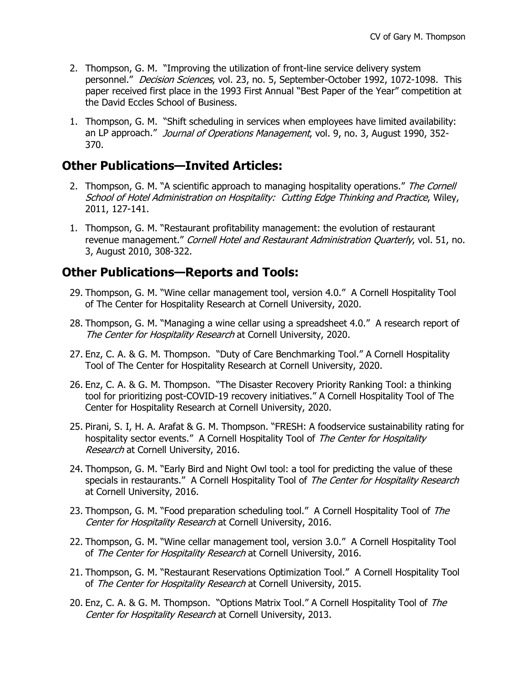- 2. Thompson, G. M. "Improving the utilization of front-line service delivery system personnel." Decision Sciences, vol. 23, no. 5, September-October 1992, 1072-1098. This paper received first place in the 1993 First Annual "Best Paper of the Year" competition at the David Eccles School of Business.
- 1. Thompson, G. M. "Shift scheduling in services when employees have limited availability: an LP approach." Journal of Operations Management, vol. 9, no. 3, August 1990, 352-370.

# **Other Publications—Invited Articles:**

- 2. Thompson, G. M. "A scientific approach to managing hospitality operations." The Cornell School of Hotel Administration on Hospitality: Cutting Edge Thinking and Practice, Wiley, 2011, 127-141.
- 1. Thompson, G. M. "Restaurant profitability management: the evolution of restaurant revenue management." Cornell Hotel and Restaurant Administration Quarterly, vol. 51, no. 3, August 2010, 308-322.

# **Other Publications—Reports and Tools:**

- 29. Thompson, G. M. "Wine cellar management tool, version 4.0." A Cornell Hospitality Tool of The Center for Hospitality Research at Cornell University, 2020.
- 28. Thompson, G. M. "Managing a wine cellar using a spreadsheet 4.0." A research report of The Center for Hospitality Research at Cornell University, 2020.
- 27. Enz, C. A. & G. M. Thompson. "Duty of Care Benchmarking Tool." A Cornell Hospitality Tool of The Center for Hospitality Research at Cornell University, 2020.
- 26. Enz, C. A. & G. M. Thompson. "The Disaster Recovery Priority Ranking Tool: a thinking tool for prioritizing post-COVID-19 recovery initiatives." A Cornell Hospitality Tool of The Center for Hospitality Research at Cornell University, 2020.
- 25. Pirani, S. I, H. A. Arafat & G. M. Thompson. "FRESH: A foodservice sustainability rating for hospitality sector events." A Cornell Hospitality Tool of The Center for Hospitality Research at Cornell University, 2016.
- 24. Thompson, G. M. "Early Bird and Night Owl tool: a tool for predicting the value of these specials in restaurants." A Cornell Hospitality Tool of The Center for Hospitality Research at Cornell University, 2016.
- 23. Thompson, G. M. "Food preparation scheduling tool." A Cornell Hospitality Tool of The Center for Hospitality Research at Cornell University, 2016.
- 22. Thompson, G. M. "Wine cellar management tool, version 3.0." A Cornell Hospitality Tool of The Center for Hospitality Research at Cornell University, 2016.
- 21. Thompson, G. M. "Restaurant Reservations Optimization Tool." A Cornell Hospitality Tool of The Center for Hospitality Research at Cornell University, 2015.
- 20. Enz, C. A. & G. M. Thompson. "Options Matrix Tool." A Cornell Hospitality Tool of The Center for Hospitality Research at Cornell University, 2013.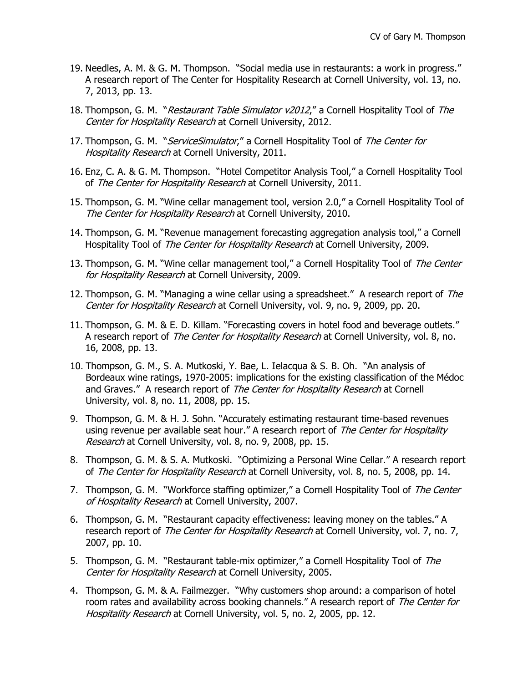- 19. Needles, A. M. & G. M. Thompson. "Social media use in restaurants: a work in progress." A research report of The Center for Hospitality Research at Cornell University, vol. 13, no. 7, 2013, pp. 13.
- 18. Thompson, G. M. "Restaurant Table Simulator v2012," a Cornell Hospitality Tool of The Center for Hospitality Research at Cornell University, 2012.
- 17. Thompson, G. M. "ServiceSimulator," a Cornell Hospitality Tool of The Center for **Hospitality Research at Cornell University, 2011.**
- 16. Enz, C. A. & G. M. Thompson. "Hotel Competitor Analysis Tool," a Cornell Hospitality Tool of The Center for Hospitality Research at Cornell University, 2011.
- 15. Thompson, G. M. "Wine cellar management tool, version 2.0," a Cornell Hospitality Tool of The Center for Hospitality Research at Cornell University, 2010.
- 14. Thompson, G. M. "Revenue management forecasting aggregation analysis tool," a Cornell Hospitality Tool of The Center for Hospitality Research at Cornell University, 2009.
- 13. Thompson, G. M. "Wine cellar management tool," a Cornell Hospitality Tool of The Center for Hospitality Research at Cornell University, 2009.
- 12. Thompson, G. M. "Managing a wine cellar using a spreadsheet." A research report of The Center for Hospitality Research at Cornell University, vol. 9, no. 9, 2009, pp. 20.
- 11. Thompson, G. M. & E. D. Killam. "Forecasting covers in hotel food and beverage outlets." A research report of The Center for Hospitality Research at Cornell University, vol. 8, no. 16, 2008, pp. 13.
- 10. Thompson, G. M., S. A. Mutkoski, Y. Bae, L. Ielacqua & S. B. Oh. "An analysis of Bordeaux wine ratings, 1970-2005: implications for the existing classification of the Médoc and Graves." A research report of The Center for Hospitality Research at Cornell University, vol. 8, no. 11, 2008, pp. 15.
- 9. Thompson, G. M. & H. J. Sohn. "Accurately estimating restaurant time-based revenues using revenue per available seat hour." A research report of The Center for Hospitality Research at Cornell University, vol. 8, no. 9, 2008, pp. 15.
- 8. Thompson, G. M. & S. A. Mutkoski. "Optimizing a Personal Wine Cellar." A research report of The Center for Hospitality Research at Cornell University, vol. 8, no. 5, 2008, pp. 14.
- 7. Thompson, G. M. "Workforce staffing optimizer," a Cornell Hospitality Tool of The Center of Hospitality Research at Cornell University, 2007.
- 6. Thompson, G. M. "Restaurant capacity effectiveness: leaving money on the tables." A research report of The Center for Hospitality Research at Cornell University, vol. 7, no. 7, 2007, pp. 10.
- 5. Thompson, G. M. "Restaurant table-mix optimizer," a Cornell Hospitality Tool of The Center for Hospitality Research at Cornell University, 2005.
- 4. Thompson, G. M. & A. Failmezger. "Why customers shop around: a comparison of hotel room rates and availability across booking channels." A research report of The Center for Hospitality Research at Cornell University, vol. 5, no. 2, 2005, pp. 12.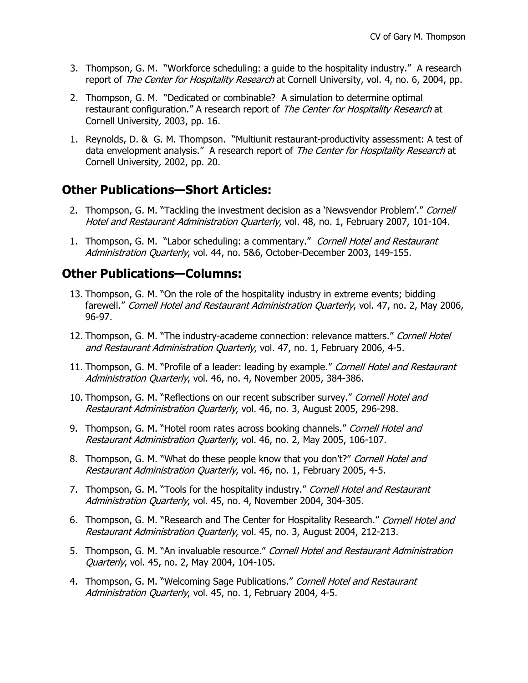- 3. Thompson, G. M. "Workforce scheduling: a guide to the hospitality industry." A research report of The Center for Hospitality Research at Cornell University, vol. 4, no. 6, 2004, pp.
- 2. Thompson, G. M. "Dedicated or combinable? A simulation to determine optimal restaurant configuration." A research report of The Center for Hospitality Research at Cornell University, 2003, pp. 16.
- 1. Reynolds, D. & G. M. Thompson. "Multiunit restaurant-productivity assessment: A test of data envelopment analysis." A research report of The Center for Hospitality Research at Cornell University, 2002, pp. 20.

#### **Other Publications—Short Articles:**

- 2. Thompson, G. M. "Tackling the investment decision as a 'Newsvendor Problem'." Cornell Hotel and Restaurant Administration Quarterly, vol. 48, no. 1, February 2007, 101-104.
- 1. Thompson, G. M. "Labor scheduling: a commentary." Cornell Hotel and Restaurant Administration Quarterly, vol. 44, no. 5&6, October-December 2003, 149-155.

#### **Other Publications—Columns:**

- 13. Thompson, G. M. "On the role of the hospitality industry in extreme events; bidding farewell." Cornell Hotel and Restaurant Administration Quarterly, vol. 47, no. 2, May 2006, 96-97.
- 12. Thompson, G. M. "The industry-academe connection: relevance matters." Cornell Hotel and Restaurant Administration Quarterly, vol. 47, no. 1, February 2006, 4-5.
- 11. Thompson, G. M. "Profile of a leader: leading by example." Cornell Hotel and Restaurant Administration Quarterly, vol. 46, no. 4, November 2005, 384-386.
- 10. Thompson, G. M. "Reflections on our recent subscriber survey." Cornell Hotel and Restaurant Administration Quarterly, vol. 46, no. 3, August 2005, 296-298.
- 9. Thompson, G. M. "Hotel room rates across booking channels." Cornell Hotel and Restaurant Administration Quarterly, vol. 46, no. 2, May 2005, 106-107.
- 8. Thompson, G. M. "What do these people know that you don't?" Cornell Hotel and Restaurant Administration Quarterly, vol. 46, no. 1, February 2005, 4-5.
- 7. Thompson, G. M. "Tools for the hospitality industry." Cornell Hotel and Restaurant Administration Quarterly, vol. 45, no. 4, November 2004, 304-305.
- 6. Thompson, G. M. "Research and The Center for Hospitality Research." Cornell Hotel and Restaurant Administration Quarterly, vol. 45, no. 3, August 2004, 212-213.
- 5. Thompson, G. M. "An invaluable resource." Cornell Hotel and Restaurant Administration Quarterly, vol. 45, no. 2, May 2004, 104-105.
- 4. Thompson, G. M. "Welcoming Sage Publications." Cornell Hotel and Restaurant Administration Quarterly, vol. 45, no. 1, February 2004, 4-5.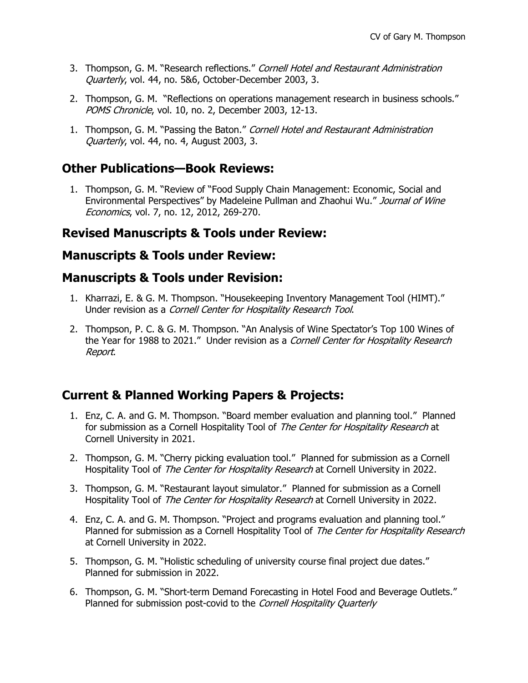- 3. Thompson, G. M. "Research reflections." Cornell Hotel and Restaurant Administration Quarterly, vol. 44, no. 5&6, October-December 2003, 3.
- 2. Thompson, G. M. "Reflections on operations management research in business schools." POMS Chronicle, vol. 10, no. 2, December 2003, 12-13.
- 1. Thompson, G. M. "Passing the Baton." Cornell Hotel and Restaurant Administration Quarterly, vol. 44, no. 4, August 2003, 3.

# **Other Publications—Book Reviews:**

1. Thompson, G. M. "Review of "Food Supply Chain Management: Economic, Social and Environmental Perspectives" by Madeleine Pullman and Zhaohui Wu." Journal of Wine Economics, vol. 7, no. 12, 2012, 269-270.

# **Revised Manuscripts & Tools under Review:**

#### **Manuscripts & Tools under Review:**

#### **Manuscripts & Tools under Revision:**

- 1. Kharrazi, E. & G. M. Thompson. "Housekeeping Inventory Management Tool (HIMT)." Under revision as a Cornell Center for Hospitality Research Tool.
- 2. Thompson, P. C. & G. M. Thompson. "An Analysis of Wine Spectator's Top 100 Wines of the Year for 1988 to 2021." Under revision as a Cornell Center for Hospitality Research Report.

# **Current & Planned Working Papers & Projects:**

- 1. Enz, C. A. and G. M. Thompson. "Board member evaluation and planning tool." Planned for submission as a Cornell Hospitality Tool of The Center for Hospitality Research at Cornell University in 2021.
- 2. Thompson, G. M. "Cherry picking evaluation tool." Planned for submission as a Cornell Hospitality Tool of The Center for Hospitality Research at Cornell University in 2022.
- 3. Thompson, G. M. "Restaurant layout simulator." Planned for submission as a Cornell Hospitality Tool of The Center for Hospitality Research at Cornell University in 2022.
- 4. Enz, C. A. and G. M. Thompson. "Project and programs evaluation and planning tool." Planned for submission as a Cornell Hospitality Tool of The Center for Hospitality Research at Cornell University in 2022.
- 5. Thompson, G. M. "Holistic scheduling of university course final project due dates." Planned for submission in 2022.
- 6. Thompson, G. M. "Short-term Demand Forecasting in Hotel Food and Beverage Outlets." Planned for submission post-covid to the Cornell Hospitality Quarterly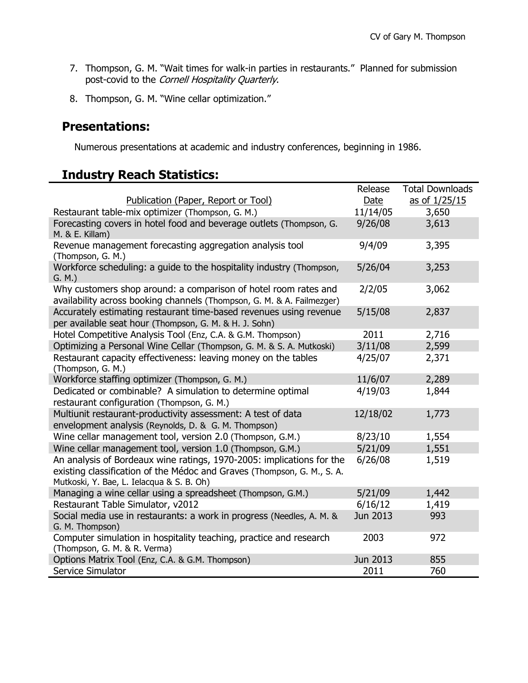- 7. Thompson, G. M. "Wait times for walk-in parties in restaurants." Planned for submission post-covid to the *Cornell Hospitality Quarterly*.
- 8. Thompson, G. M. "Wine cellar optimization."

# **Presentations:**

Numerous presentations at academic and industry conferences, beginning in 1986.

# **Industry Reach Statistics:**

|                                                                                                                                                                                               | Release  | Total Downloads |
|-----------------------------------------------------------------------------------------------------------------------------------------------------------------------------------------------|----------|-----------------|
| Publication (Paper, Report or Tool)                                                                                                                                                           | Date     | as of 1/25/15   |
| Restaurant table-mix optimizer (Thompson, G. M.)                                                                                                                                              | 11/14/05 | 3,650           |
| Forecasting covers in hotel food and beverage outlets (Thompson, G.<br>M. & E. Killam)                                                                                                        | 9/26/08  | 3,613           |
| Revenue management forecasting aggregation analysis tool<br>(Thompson, G. M.)                                                                                                                 | 9/4/09   | 3,395           |
| Workforce scheduling: a guide to the hospitality industry (Thompson,<br>G. M.)                                                                                                                | 5/26/04  | 3,253           |
| Why customers shop around: a comparison of hotel room rates and<br>availability across booking channels (Thompson, G. M. & A. Failmezger)                                                     | 2/2/05   | 3,062           |
| Accurately estimating restaurant time-based revenues using revenue<br>per available seat hour (Thompson, G. M. & H. J. Sohn)                                                                  | 5/15/08  | 2,837           |
| Hotel Competitive Analysis Tool (Enz, C.A. & G.M. Thompson)                                                                                                                                   | 2011     | 2,716           |
| Optimizing a Personal Wine Cellar (Thompson, G. M. & S. A. Mutkoski)                                                                                                                          | 3/11/08  | 2,599           |
| Restaurant capacity effectiveness: leaving money on the tables<br>(Thompson, G. M.)                                                                                                           | 4/25/07  | 2,371           |
| Workforce staffing optimizer (Thompson, G. M.)                                                                                                                                                | 11/6/07  | 2,289           |
| Dedicated or combinable? A simulation to determine optimal<br>restaurant configuration (Thompson, G. M.)                                                                                      | 4/19/03  | 1,844           |
| Multiunit restaurant-productivity assessment: A test of data<br>envelopment analysis (Reynolds, D. & G. M. Thompson)                                                                          | 12/18/02 | 1,773           |
| Wine cellar management tool, version 2.0 (Thompson, G.M.)                                                                                                                                     | 8/23/10  | 1,554           |
| Wine cellar management tool, version 1.0 (Thompson, G.M.)                                                                                                                                     | 5/21/09  | 1,551           |
| An analysis of Bordeaux wine ratings, 1970-2005: implications for the<br>existing classification of the Médoc and Graves (Thompson, G. M., S. A.<br>Mutkoski, Y. Bae, L. Ielacqua & S. B. Oh) | 6/26/08  | 1,519           |
| Managing a wine cellar using a spreadsheet (Thompson, G.M.)                                                                                                                                   | 5/21/09  | 1,442           |
| Restaurant Table Simulator, v2012                                                                                                                                                             | 6/16/12  | 1,419           |
| Social media use in restaurants: a work in progress (Needles, A. M. &<br>G. M. Thompson)                                                                                                      | Jun 2013 | 993             |
| Computer simulation in hospitality teaching, practice and research<br>(Thompson, G. M. & R. Verma)                                                                                            | 2003     | 972             |
| Options Matrix Tool (Enz, C.A. & G.M. Thompson)                                                                                                                                               | Jun 2013 | 855             |
| Service Simulator                                                                                                                                                                             | 2011     | 760             |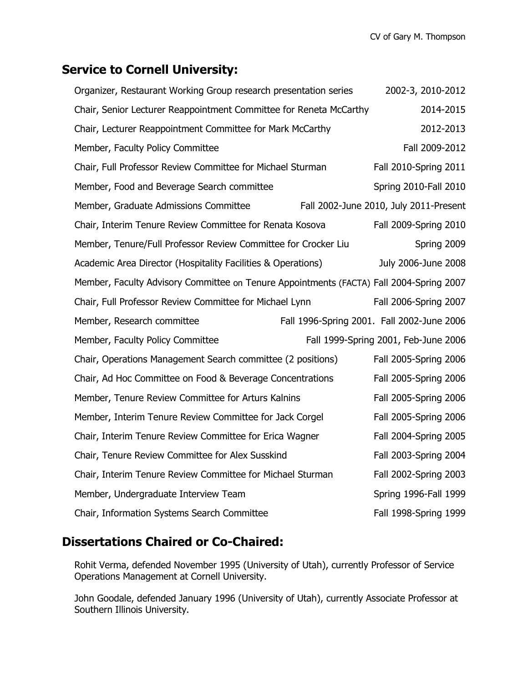# **Service to Cornell University:**

| Organizer, Restaurant Working Group research presentation series                        | 2002-3, 2010-2012     |                                            |
|-----------------------------------------------------------------------------------------|-----------------------|--------------------------------------------|
| Chair, Senior Lecturer Reappointment Committee for Reneta McCarthy                      | 2014-2015             |                                            |
| Chair, Lecturer Reappointment Committee for Mark McCarthy                               | 2012-2013             |                                            |
| Member, Faculty Policy Committee                                                        | Fall 2009-2012        |                                            |
| Chair, Full Professor Review Committee for Michael Sturman                              | Fall 2010-Spring 2011 |                                            |
| Member, Food and Beverage Search committee                                              |                       | Spring 2010-Fall 2010                      |
| Member, Graduate Admissions Committee                                                   |                       | Fall 2002-June 2010, July 2011-Present     |
| Chair, Interim Tenure Review Committee for Renata Kosova                                |                       | Fall 2009-Spring 2010                      |
| Member, Tenure/Full Professor Review Committee for Crocker Liu                          |                       | Spring 2009                                |
| Academic Area Director (Hospitality Facilities & Operations)                            |                       | July 2006-June 2008                        |
| Member, Faculty Advisory Committee on Tenure Appointments (FACTA) Fall 2004-Spring 2007 |                       |                                            |
| Chair, Full Professor Review Committee for Michael Lynn                                 |                       | Fall 2006-Spring 2007                      |
| Member, Research committee                                                              |                       | Fall 1996-Spring 2001. Fall 2002-June 2006 |
| Member, Faculty Policy Committee                                                        |                       | Fall 1999-Spring 2001, Feb-June 2006       |
| Chair, Operations Management Search committee (2 positions)                             |                       | Fall 2005-Spring 2006                      |
| Chair, Ad Hoc Committee on Food & Beverage Concentrations                               |                       | Fall 2005-Spring 2006                      |
| Member, Tenure Review Committee for Arturs Kalnins                                      |                       | Fall 2005-Spring 2006                      |
| Member, Interim Tenure Review Committee for Jack Corgel                                 |                       | Fall 2005-Spring 2006                      |
| Chair, Interim Tenure Review Committee for Erica Wagner                                 |                       | Fall 2004-Spring 2005                      |
| Chair, Tenure Review Committee for Alex Susskind                                        |                       | Fall 2003-Spring 2004                      |
| Chair, Interim Tenure Review Committee for Michael Sturman                              |                       | Fall 2002-Spring 2003                      |
| Member, Undergraduate Interview Team                                                    |                       | Spring 1996-Fall 1999                      |
| Chair, Information Systems Search Committee                                             | Fall 1998-Spring 1999 |                                            |

# **Dissertations Chaired or Co-Chaired:**

Rohit Verma, defended November 1995 (University of Utah), currently Professor of Service Operations Management at Cornell University.

John Goodale, defended January 1996 (University of Utah), currently Associate Professor at Southern Illinois University.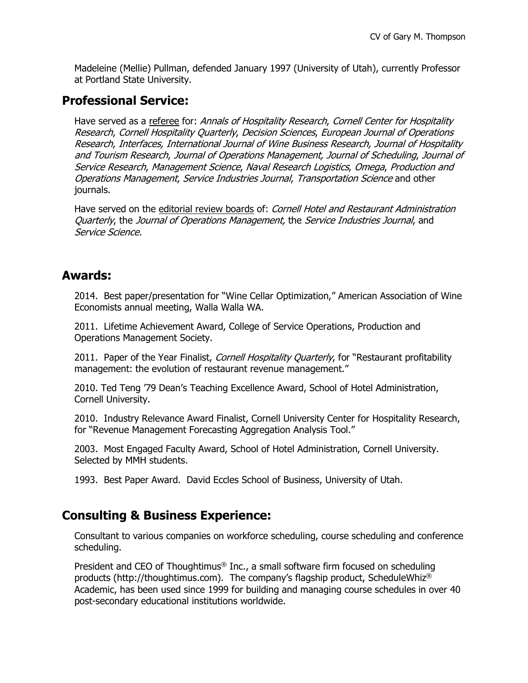Madeleine (Mellie) Pullman, defended January 1997 (University of Utah), currently Professor at Portland State University.

# **Professional Service:**

Have served as a referee for: Annals of Hospitality Research, Cornell Center for Hospitality Research, Cornell Hospitality Quarterly, Decision Sciences, European Journal of Operations Research, Interfaces, International Journal of Wine Business Research, Journal of Hospitality and Tourism Research, Journal of Operations Management, Journal of Scheduling, Journal of Service Research, Management Science, Naval Research Logistics, Omega, Production and Operations Management, Service Industries Journal, Transportation Science and other journals.

Have served on the editorial review boards of: Cornell Hotel and Restaurant Administration Quarterly, the Journal of Operations Management, the Service Industries Journal, and Service Science.

# **Awards:**

2014. Best paper/presentation for "Wine Cellar Optimization," American Association of Wine Economists annual meeting, Walla Walla WA.

2011. Lifetime Achievement Award, College of Service Operations, Production and Operations Management Society.

2011. Paper of the Year Finalist, Cornell Hospitality Quarterly, for "Restaurant profitability management: the evolution of restaurant revenue management."

2010. Ted Teng '79 Dean's Teaching Excellence Award, School of Hotel Administration, Cornell University.

2010. Industry Relevance Award Finalist, Cornell University Center for Hospitality Research, for "Revenue Management Forecasting Aggregation Analysis Tool."

2003. Most Engaged Faculty Award, School of Hotel Administration, Cornell University. Selected by MMH students.

1993. Best Paper Award. David Eccles School of Business, University of Utah.

# **Consulting & Business Experience:**

Consultant to various companies on workforce scheduling, course scheduling and conference scheduling.

President and CEO of Thoughtimus® Inc., a small software firm focused on scheduling products (http://thoughtimus.com). The company's flagship product, ScheduleWhiz® Academic, has been used since 1999 for building and managing course schedules in over 40 post-secondary educational institutions worldwide.